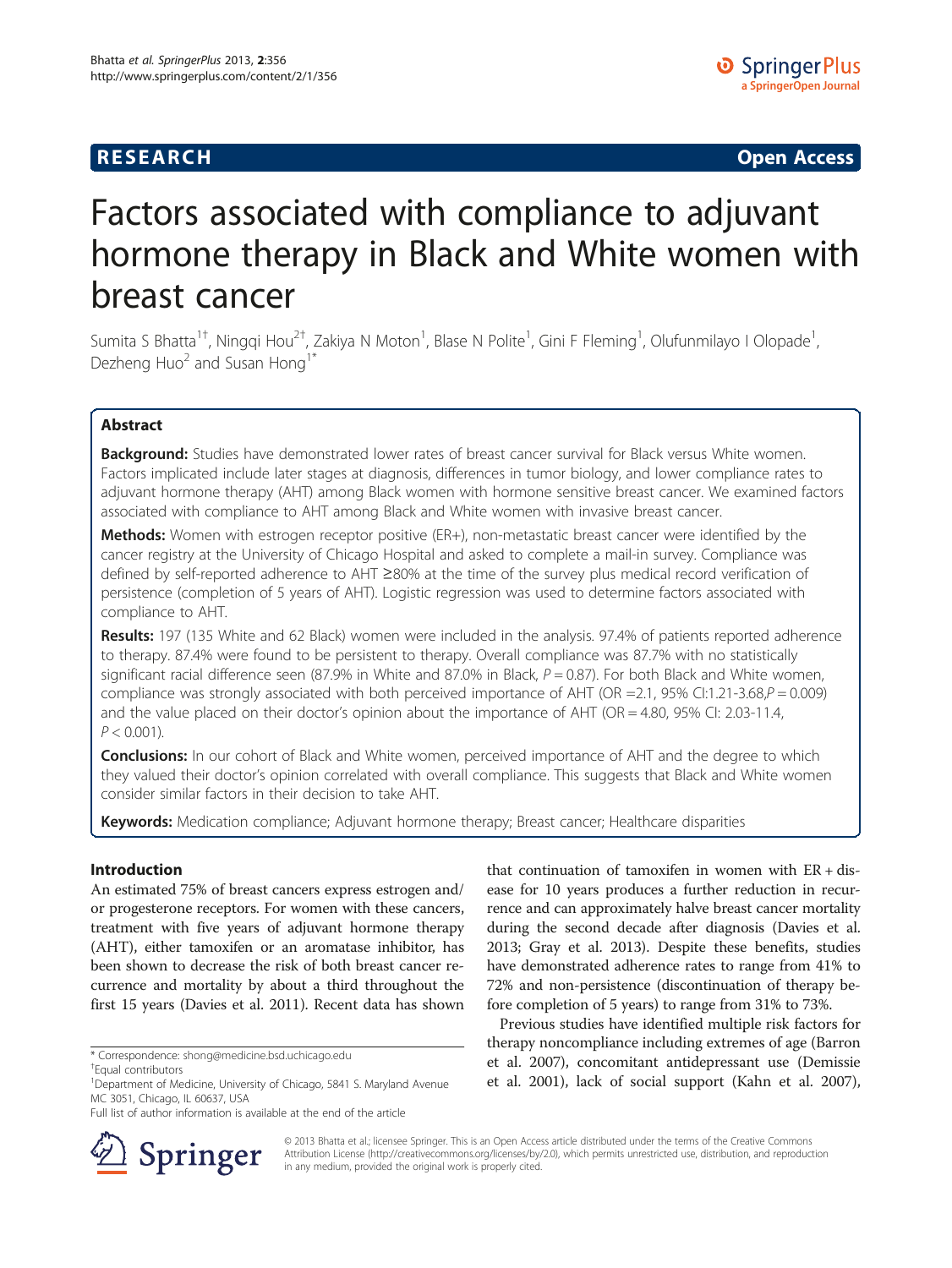# **RESEARCH CHE Open Access**

# Factors associated with compliance to adjuvant hormone therapy in Black and White women with breast cancer

Sumita S Bhatta<sup>1†</sup>, Ningqi Hou<sup>2†</sup>, Zakiya N Moton<sup>1</sup>, Blase N Polite<sup>1</sup>, Gini F Fleming<sup>1</sup>, Olufunmilayo I Olopade<sup>1</sup> , Dezheng Huo<sup>2</sup> and Susan Hong<sup>1\*</sup>

# Abstract

**Background:** Studies have demonstrated lower rates of breast cancer survival for Black versus White women. Factors implicated include later stages at diagnosis, differences in tumor biology, and lower compliance rates to adjuvant hormone therapy (AHT) among Black women with hormone sensitive breast cancer. We examined factors associated with compliance to AHT among Black and White women with invasive breast cancer.

Methods: Women with estrogen receptor positive (ER+), non-metastatic breast cancer were identified by the cancer registry at the University of Chicago Hospital and asked to complete a mail-in survey. Compliance was defined by self-reported adherence to AHT ≥80% at the time of the survey plus medical record verification of persistence (completion of 5 years of AHT). Logistic regression was used to determine factors associated with compliance to AHT.

Results: 197 (135 White and 62 Black) women were included in the analysis. 97.4% of patients reported adherence to therapy. 87.4% were found to be persistent to therapy. Overall compliance was 87.7% with no statistically significant racial difference seen (87.9% in White and 87.0% in Black,  $P = 0.87$ ). For both Black and White women, compliance was strongly associated with both perceived importance of AHT (OR = 2.1, 95% CI:1.21-3.68, $P = 0.009$ ) and the value placed on their doctor's opinion about the importance of AHT (OR = 4.80, 95% CI: 2.03-11.4,  $P < 0.001$ ).

**Conclusions:** In our cohort of Black and White women, perceived importance of AHT and the degree to which they valued their doctor's opinion correlated with overall compliance. This suggests that Black and White women consider similar factors in their decision to take AHT.

Keywords: Medication compliance; Adjuvant hormone therapy; Breast cancer; Healthcare disparities

# Introduction

An estimated 75% of breast cancers express estrogen and/ or progesterone receptors. For women with these cancers, treatment with five years of adjuvant hormone therapy (AHT), either tamoxifen or an aromatase inhibitor, has been shown to decrease the risk of both breast cancer recurrence and mortality by about a third throughout the first 15 years (Davies et al. [2011\)](#page-6-0). Recent data has shown

Full list of author information is available at the end of the article



that continuation of tamoxifen in women with  $ER + dis$ ease for 10 years produces a further reduction in recurrence and can approximately halve breast cancer mortality during the second decade after diagnosis (Davies et al. [2013;](#page-6-0) Gray et al. [2013](#page-6-0)). Despite these benefits, studies have demonstrated adherence rates to range from 41% to 72% and non-persistence (discontinuation of therapy before completion of 5 years) to range from 31% to 73%.

Previous studies have identified multiple risk factors for therapy noncompliance including extremes of age (Barron et al. [2007\)](#page-6-0), concomitant antidepressant use (Demissie et al. [2001](#page-6-0)), lack of social support (Kahn et al. [2007](#page-6-0)),

© 2013 Bhatta et al.; licensee Springer. This is an Open Access article distributed under the terms of the Creative Commons Attribution License [\(http://creativecommons.org/licenses/by/2.0\)](http://creativecommons.org/licenses/by/2.0), which permits unrestricted use, distribution, and reproduction in any medium, provided the original work is properly cited.

<sup>\*</sup> Correspondence: [shong@medicine.bsd.uchicago.edu](mailto:shong@medicine.bsd.uchicago.edu) †

Equal contributors

<sup>&</sup>lt;sup>1</sup>Department of Medicine, University of Chicago, 5841 S. Maryland Avenue MC 3051, Chicago, IL 60637, USA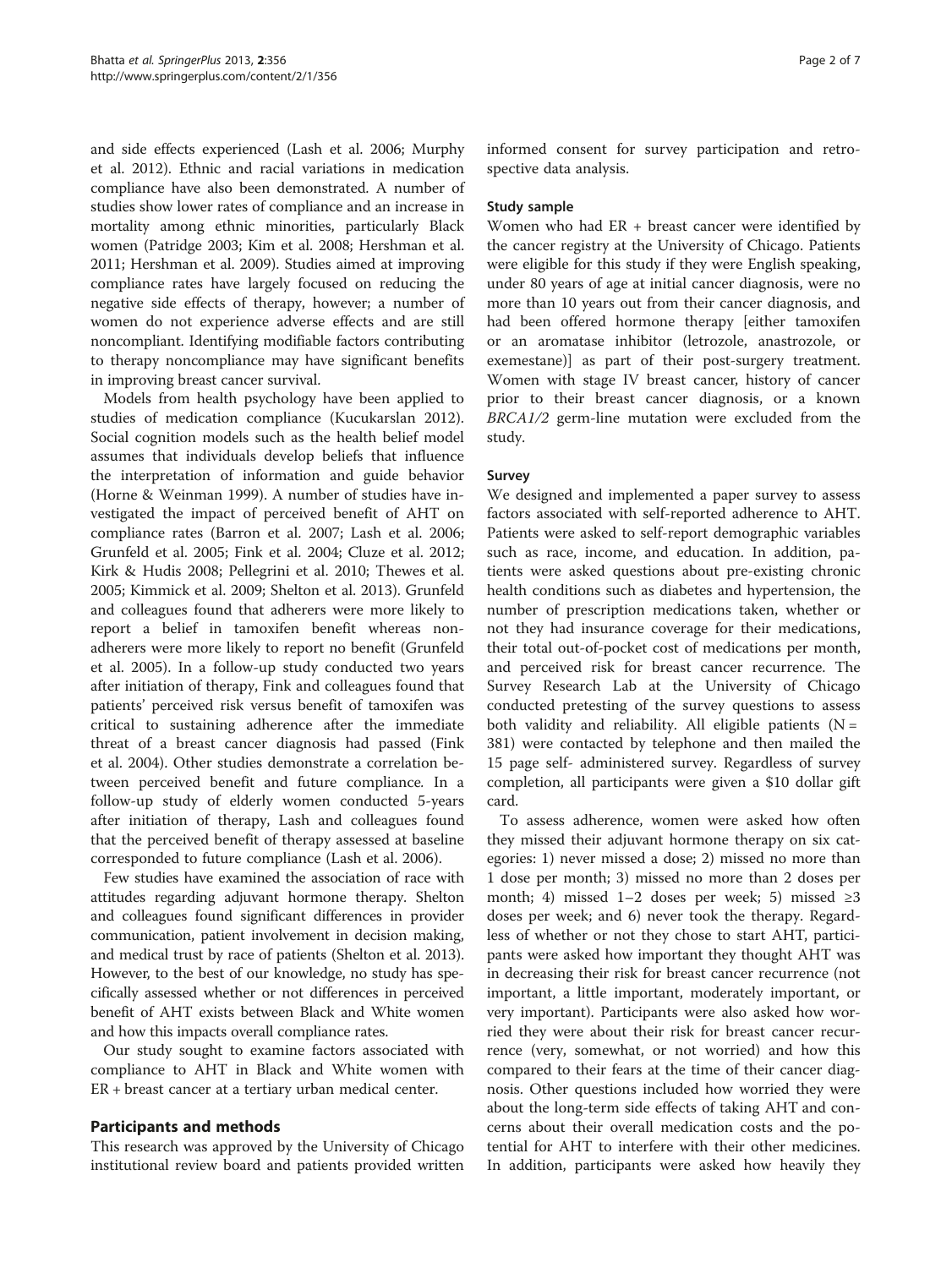and side effects experienced (Lash et al. [2006](#page-6-0); Murphy et al. [2012](#page-6-0)). Ethnic and racial variations in medication compliance have also been demonstrated. A number of studies show lower rates of compliance and an increase in mortality among ethnic minorities, particularly Black women (Patridge [2003](#page-6-0); Kim et al. [2008;](#page-6-0) Hershman et al. [2011](#page-6-0); Hershman et al. [2009\)](#page-6-0). Studies aimed at improving compliance rates have largely focused on reducing the negative side effects of therapy, however; a number of women do not experience adverse effects and are still noncompliant. Identifying modifiable factors contributing to therapy noncompliance may have significant benefits in improving breast cancer survival.

Models from health psychology have been applied to studies of medication compliance (Kucukarslan [2012](#page-6-0)). Social cognition models such as the health belief model assumes that individuals develop beliefs that influence the interpretation of information and guide behavior (Horne & Weinman [1999](#page-6-0)). A number of studies have investigated the impact of perceived benefit of AHT on compliance rates (Barron et al. [2007;](#page-6-0) Lash et al. [2006](#page-6-0); Grunfeld et al. [2005;](#page-6-0) Fink et al. [2004;](#page-6-0) Cluze et al. [2012](#page-6-0); Kirk & Hudis [2008](#page-6-0); Pellegrini et al. [2010](#page-6-0); Thewes et al. [2005](#page-6-0); Kimmick et al. [2009](#page-6-0); Shelton et al. [2013\)](#page-6-0). Grunfeld and colleagues found that adherers were more likely to report a belief in tamoxifen benefit whereas nonadherers were more likely to report no benefit (Grunfeld et al. [2005\)](#page-6-0). In a follow-up study conducted two years after initiation of therapy, Fink and colleagues found that patients' perceived risk versus benefit of tamoxifen was critical to sustaining adherence after the immediate threat of a breast cancer diagnosis had passed (Fink et al. [2004\)](#page-6-0). Other studies demonstrate a correlation between perceived benefit and future compliance. In a follow-up study of elderly women conducted 5-years after initiation of therapy, Lash and colleagues found that the perceived benefit of therapy assessed at baseline corresponded to future compliance (Lash et al. [2006](#page-6-0)).

Few studies have examined the association of race with attitudes regarding adjuvant hormone therapy. Shelton and colleagues found significant differences in provider communication, patient involvement in decision making, and medical trust by race of patients (Shelton et al. [2013](#page-6-0)). However, to the best of our knowledge, no study has specifically assessed whether or not differences in perceived benefit of AHT exists between Black and White women and how this impacts overall compliance rates.

Our study sought to examine factors associated with compliance to AHT in Black and White women with ER + breast cancer at a tertiary urban medical center.

# Participants and methods

This research was approved by the University of Chicago institutional review board and patients provided written

informed consent for survey participation and retrospective data analysis.

#### Study sample

Women who had ER + breast cancer were identified by the cancer registry at the University of Chicago. Patients were eligible for this study if they were English speaking, under 80 years of age at initial cancer diagnosis, were no more than 10 years out from their cancer diagnosis, and had been offered hormone therapy [either tamoxifen or an aromatase inhibitor (letrozole, anastrozole, or exemestane)] as part of their post-surgery treatment. Women with stage IV breast cancer, history of cancer prior to their breast cancer diagnosis, or a known BRCA1/2 germ-line mutation were excluded from the study.

#### Survey

We designed and implemented a paper survey to assess factors associated with self-reported adherence to AHT. Patients were asked to self-report demographic variables such as race, income, and education. In addition, patients were asked questions about pre-existing chronic health conditions such as diabetes and hypertension, the number of prescription medications taken, whether or not they had insurance coverage for their medications, their total out-of-pocket cost of medications per month, and perceived risk for breast cancer recurrence. The Survey Research Lab at the University of Chicago conducted pretesting of the survey questions to assess both validity and reliability. All eligible patients  $(N =$ 381) were contacted by telephone and then mailed the 15 page self- administered survey. Regardless of survey completion, all participants were given a \$10 dollar gift card.

To assess adherence, women were asked how often they missed their adjuvant hormone therapy on six categories: 1) never missed a dose; 2) missed no more than 1 dose per month; 3) missed no more than 2 doses per month; 4) missed 1–2 doses per week; 5) missed ≥3 doses per week; and 6) never took the therapy. Regardless of whether or not they chose to start AHT, participants were asked how important they thought AHT was in decreasing their risk for breast cancer recurrence (not important, a little important, moderately important, or very important). Participants were also asked how worried they were about their risk for breast cancer recurrence (very, somewhat, or not worried) and how this compared to their fears at the time of their cancer diagnosis. Other questions included how worried they were about the long-term side effects of taking AHT and concerns about their overall medication costs and the potential for AHT to interfere with their other medicines. In addition, participants were asked how heavily they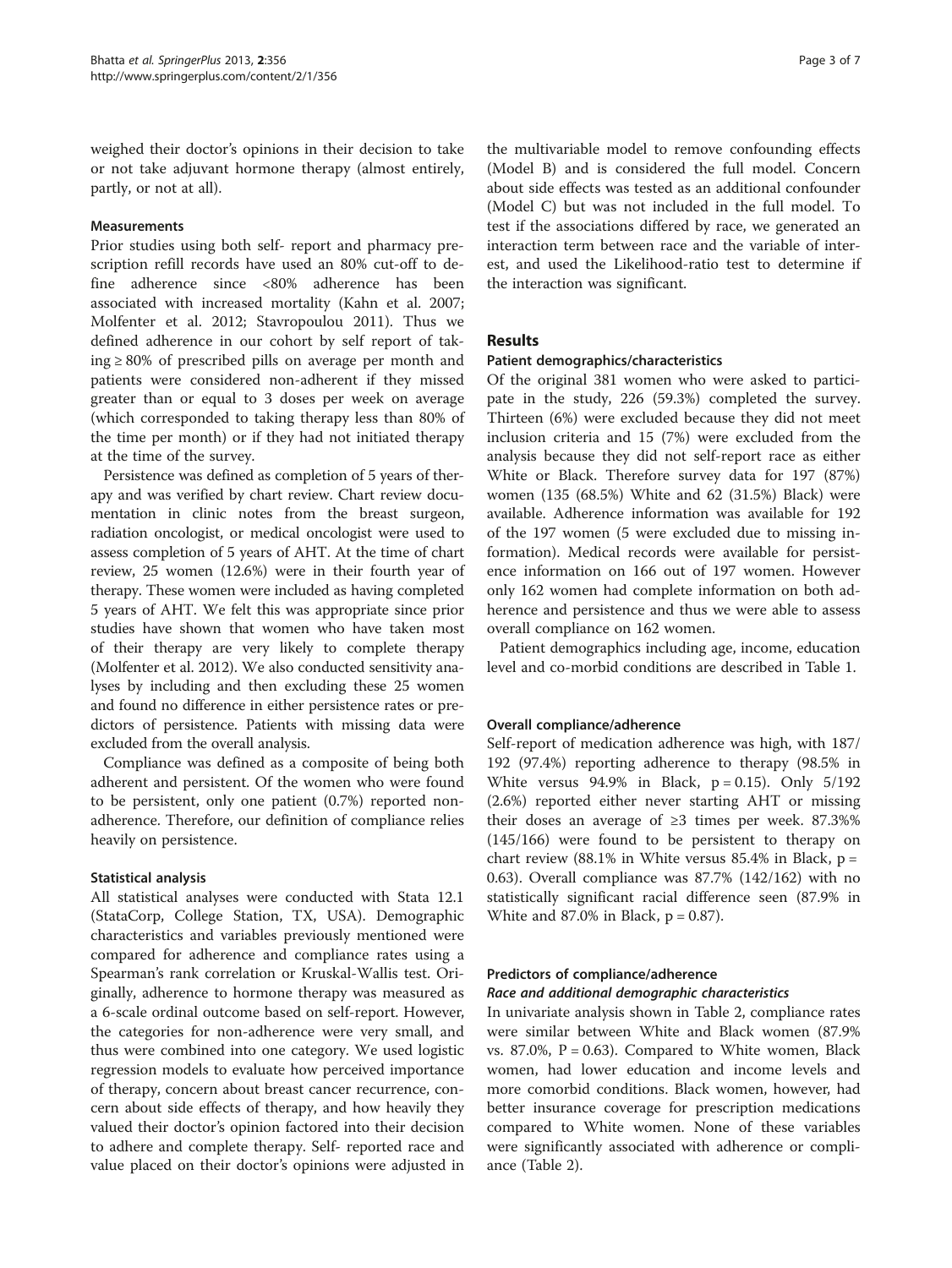weighed their doctor's opinions in their decision to take or not take adjuvant hormone therapy (almost entirely, partly, or not at all).

## Measurements

Prior studies using both self- report and pharmacy prescription refill records have used an 80% cut-off to define adherence since <80% adherence has been associated with increased mortality (Kahn et al. [2007](#page-6-0); Molfenter et al. [2012](#page-6-0); Stavropoulou [2011\)](#page-6-0). Thus we defined adherence in our cohort by self report of taking ≥ 80% of prescribed pills on average per month and patients were considered non-adherent if they missed greater than or equal to 3 doses per week on average (which corresponded to taking therapy less than 80% of the time per month) or if they had not initiated therapy at the time of the survey.

Persistence was defined as completion of 5 years of therapy and was verified by chart review. Chart review documentation in clinic notes from the breast surgeon, radiation oncologist, or medical oncologist were used to assess completion of 5 years of AHT. At the time of chart review, 25 women (12.6%) were in their fourth year of therapy. These women were included as having completed 5 years of AHT. We felt this was appropriate since prior studies have shown that women who have taken most of their therapy are very likely to complete therapy (Molfenter et al. [2012](#page-6-0)). We also conducted sensitivity analyses by including and then excluding these 25 women and found no difference in either persistence rates or predictors of persistence. Patients with missing data were excluded from the overall analysis.

Compliance was defined as a composite of being both adherent and persistent. Of the women who were found to be persistent, only one patient (0.7%) reported nonadherence. Therefore, our definition of compliance relies heavily on persistence.

#### Statistical analysis

All statistical analyses were conducted with Stata 12.1 (StataCorp, College Station, TX, USA). Demographic characteristics and variables previously mentioned were compared for adherence and compliance rates using a Spearman's rank correlation or Kruskal-Wallis test. Originally, adherence to hormone therapy was measured as a 6-scale ordinal outcome based on self-report. However, the categories for non-adherence were very small, and thus were combined into one category. We used logistic regression models to evaluate how perceived importance of therapy, concern about breast cancer recurrence, concern about side effects of therapy, and how heavily they valued their doctor's opinion factored into their decision to adhere and complete therapy. Self- reported race and value placed on their doctor's opinions were adjusted in the multivariable model to remove confounding effects (Model B) and is considered the full model. Concern about side effects was tested as an additional confounder (Model C) but was not included in the full model. To test if the associations differed by race, we generated an interaction term between race and the variable of interest, and used the Likelihood-ratio test to determine if the interaction was significant.

#### Results

#### Patient demographics/characteristics

Of the original 381 women who were asked to participate in the study, 226 (59.3%) completed the survey. Thirteen (6%) were excluded because they did not meet inclusion criteria and 15 (7%) were excluded from the analysis because they did not self-report race as either White or Black. Therefore survey data for 197 (87%) women (135 (68.5%) White and 62 (31.5%) Black) were available. Adherence information was available for 192 of the 197 women (5 were excluded due to missing information). Medical records were available for persistence information on 166 out of 197 women. However only 162 women had complete information on both adherence and persistence and thus we were able to assess overall compliance on 162 women.

Patient demographics including age, income, education level and co-morbid conditions are described in Table [1.](#page-3-0)

# Overall compliance/adherence

Self-report of medication adherence was high, with 187/ 192 (97.4%) reporting adherence to therapy (98.5% in White versus  $94.9\%$  in Black,  $p = 0.15$ ). Only  $5/192$ (2.6%) reported either never starting AHT or missing their doses an average of ≥3 times per week. 87.3%% (145/166) were found to be persistent to therapy on chart review  $(88.1\%$  in White versus 85.4% in Black, p = 0.63). Overall compliance was 87.7% (142/162) with no statistically significant racial difference seen (87.9% in White and  $87.0\%$  in Black,  $p = 0.87$ ).

# Predictors of compliance/adherence

# Race and additional demographic characteristics

In univariate analysis shown in Table [2](#page-4-0), compliance rates were similar between White and Black women (87.9% vs. 87.0%,  $P = 0.63$ ). Compared to White women, Black women, had lower education and income levels and more comorbid conditions. Black women, however, had better insurance coverage for prescription medications compared to White women. None of these variables were significantly associated with adherence or compliance (Table [2](#page-4-0)).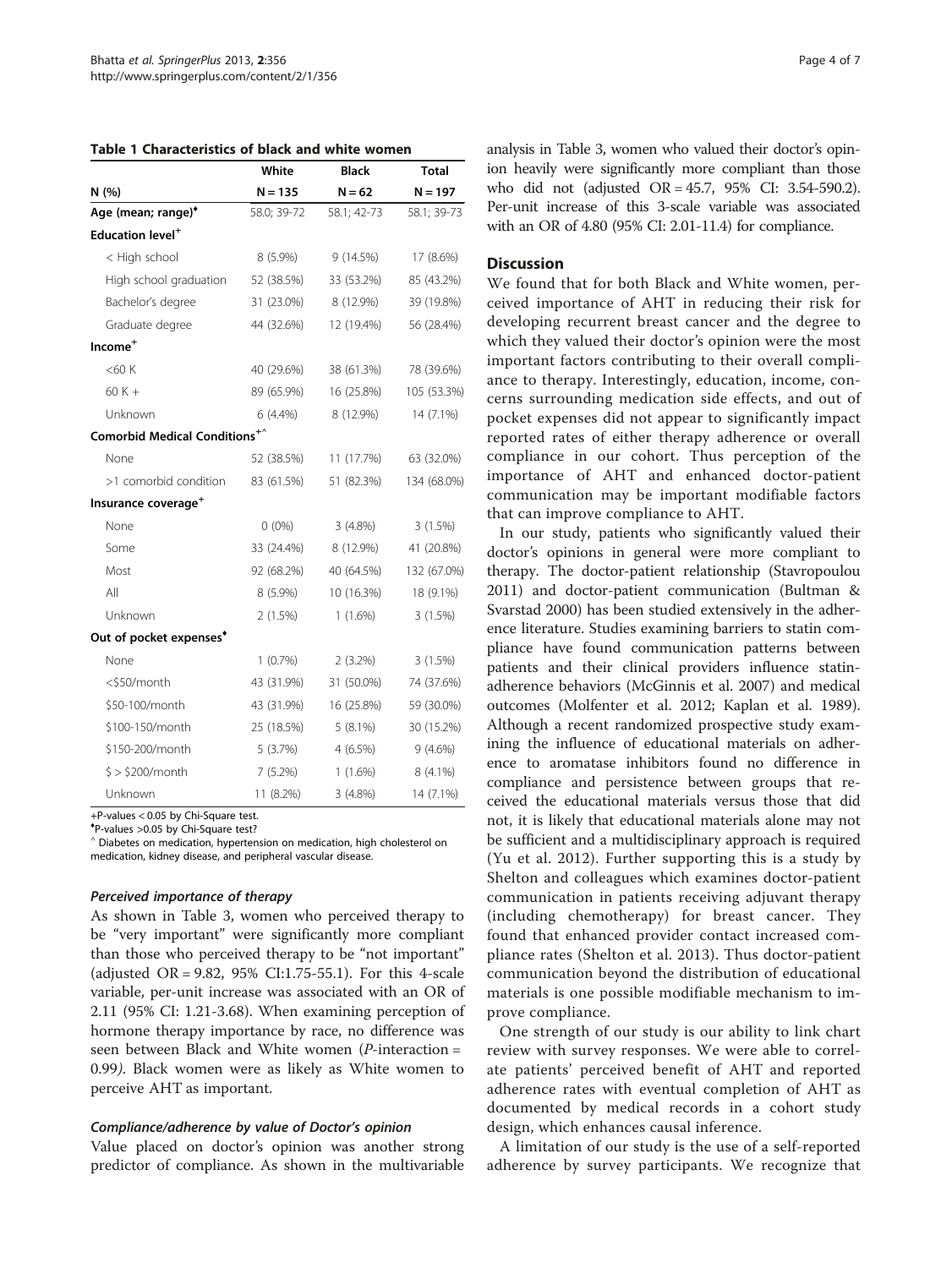<span id="page-3-0"></span>

| Table 1 Characteristics of black and white women |  |  |  |  |  |  |  |
|--------------------------------------------------|--|--|--|--|--|--|--|
|--------------------------------------------------|--|--|--|--|--|--|--|

|                                           | White       | <b>Black</b> | <b>Total</b> |
|-------------------------------------------|-------------|--------------|--------------|
| N(%)                                      | $N = 135$   | $N = 62$     | $N = 197$    |
| Age (mean; range) <sup>*</sup>            | 58.0; 39-72 | 58.1; 42-73  | 58.1; 39-73  |
| Education level <sup>+</sup>              |             |              |              |
| < High school                             | 8 (5.9%)    | 9(14.5%)     | 17 (8.6%)    |
| High school graduation                    | 52 (38.5%)  | 33 (53.2%)   | 85 (43.2%)   |
| Bachelor's degree                         | 31 (23.0%)  | 8 (12.9%)    | 39 (19.8%)   |
| Graduate degree                           | 44 (32.6%)  | 12 (19.4%)   | 56 (28.4%)   |
| Income <sup>+</sup>                       |             |              |              |
| $<$ 60 $K$                                | 40 (29.6%)  | 38 (61.3%)   | 78 (39.6%)   |
| $60K +$                                   | 89 (65.9%)  | 16 (25.8%)   | 105 (53.3%)  |
| Unknown                                   | $6(4.4\%)$  | 8 (12.9%)    | 14 (7.1%)    |
| Comorbid Medical Conditions <sup>+^</sup> |             |              |              |
| None                                      | 52 (38.5%)  | 11 (17.7%)   | 63 (32.0%)   |
| >1 comorbid condition                     | 83 (61.5%)  | 51 (82.3%)   | 134 (68.0%)  |
| Insurance coverage <sup>+</sup>           |             |              |              |
| None                                      | $0(0\%)$    | $3(4.8\%)$   | 3(1.5%)      |
| Some                                      | 33 (24.4%)  | 8 (12.9%)    | 41 (20.8%)   |
| Most                                      | 92 (68.2%)  | 40 (64.5%)   | 132 (67.0%)  |
| All                                       | 8 (5.9%)    | 10 (16.3%)   | 18 (9.1%)    |
| Unknown                                   | 2(1.5%)     | $1(1.6\%)$   | 3(1.5%)      |
| Out of pocket expenses <sup>*</sup>       |             |              |              |
| None                                      | $1(0.7\%)$  | $2(3.2\%)$   | 3(1.5%)      |
| <\$50/month                               | 43 (31.9%)  | 31 (50.0%)   | 74 (37.6%)   |
| \$50-100/month                            | 43 (31.9%)  | 16 (25.8%)   | 59 (30.0%)   |
| \$100-150/month                           | 25 (18.5%)  | $5(8.1\%)$   | 30 (15.2%)   |
| \$150-200/month                           | 5(3.7%)     | 4(6.5%)      | $9(4.6\%)$   |
| $$> $200/m$ onth                          | 7(5.2%)     | $1(1.6\%)$   | 8 (4.1%)     |
| Unknown                                   | 11 (8.2%)   | $3(4.8\%)$   | 14 (7.1%)    |

+P-values < 0.05 by Chi-Square test.

♦ P-values >0.05 by Chi-Square test?

 $^{\wedge}$  Diabetes on medication, hypertension on medication, high cholesterol on medication, kidney disease, and peripheral vascular disease.

#### Perceived importance of therapy

As shown in Table [3](#page-5-0), women who perceived therapy to be "very important" were significantly more compliant than those who perceived therapy to be "not important" (adjusted OR = 9.82, 95% CI:1.75-55.1). For this 4-scale variable, per-unit increase was associated with an OR of 2.11 (95% CI: 1.21-3.68). When examining perception of hormone therapy importance by race, no difference was seen between Black and White women  $(P\text{-}interaction =$ 0.99). Black women were as likely as White women to perceive AHT as important.

#### Compliance/adherence by value of Doctor's opinion

Value placed on doctor's opinion was another strong predictor of compliance. As shown in the multivariable

analysis in Table [3](#page-5-0), women who valued their doctor's opinion heavily were significantly more compliant than those who did not (adjusted OR = 45.7, 95% CI: 3.54-590.2). Per-unit increase of this 3-scale variable was associated with an OR of 4.80 (95% CI: 2.01-11.4) for compliance.

#### **Discussion**

We found that for both Black and White women, perceived importance of AHT in reducing their risk for developing recurrent breast cancer and the degree to which they valued their doctor's opinion were the most important factors contributing to their overall compliance to therapy. Interestingly, education, income, concerns surrounding medication side effects, and out of pocket expenses did not appear to significantly impact reported rates of either therapy adherence or overall compliance in our cohort. Thus perception of the importance of AHT and enhanced doctor-patient communication may be important modifiable factors that can improve compliance to AHT.

In our study, patients who significantly valued their doctor's opinions in general were more compliant to therapy. The doctor-patient relationship (Stavropoulou [2011](#page-6-0)) and doctor-patient communication (Bultman & Svarstad [2000](#page-6-0)) has been studied extensively in the adherence literature. Studies examining barriers to statin compliance have found communication patterns between patients and their clinical providers influence statinadherence behaviors (McGinnis et al. [2007\)](#page-6-0) and medical outcomes (Molfenter et al. [2012](#page-6-0); Kaplan et al. [1989](#page-6-0)). Although a recent randomized prospective study examining the influence of educational materials on adherence to aromatase inhibitors found no difference in compliance and persistence between groups that received the educational materials versus those that did not, it is likely that educational materials alone may not be sufficient and a multidisciplinary approach is required (Yu et al. [2012](#page-6-0)). Further supporting this is a study by Shelton and colleagues which examines doctor-patient communication in patients receiving adjuvant therapy (including chemotherapy) for breast cancer. They found that enhanced provider contact increased compliance rates (Shelton et al. [2013](#page-6-0)). Thus doctor-patient communication beyond the distribution of educational materials is one possible modifiable mechanism to improve compliance.

One strength of our study is our ability to link chart review with survey responses. We were able to correlate patients' perceived benefit of AHT and reported adherence rates with eventual completion of AHT as documented by medical records in a cohort study design, which enhances causal inference.

A limitation of our study is the use of a self-reported adherence by survey participants. We recognize that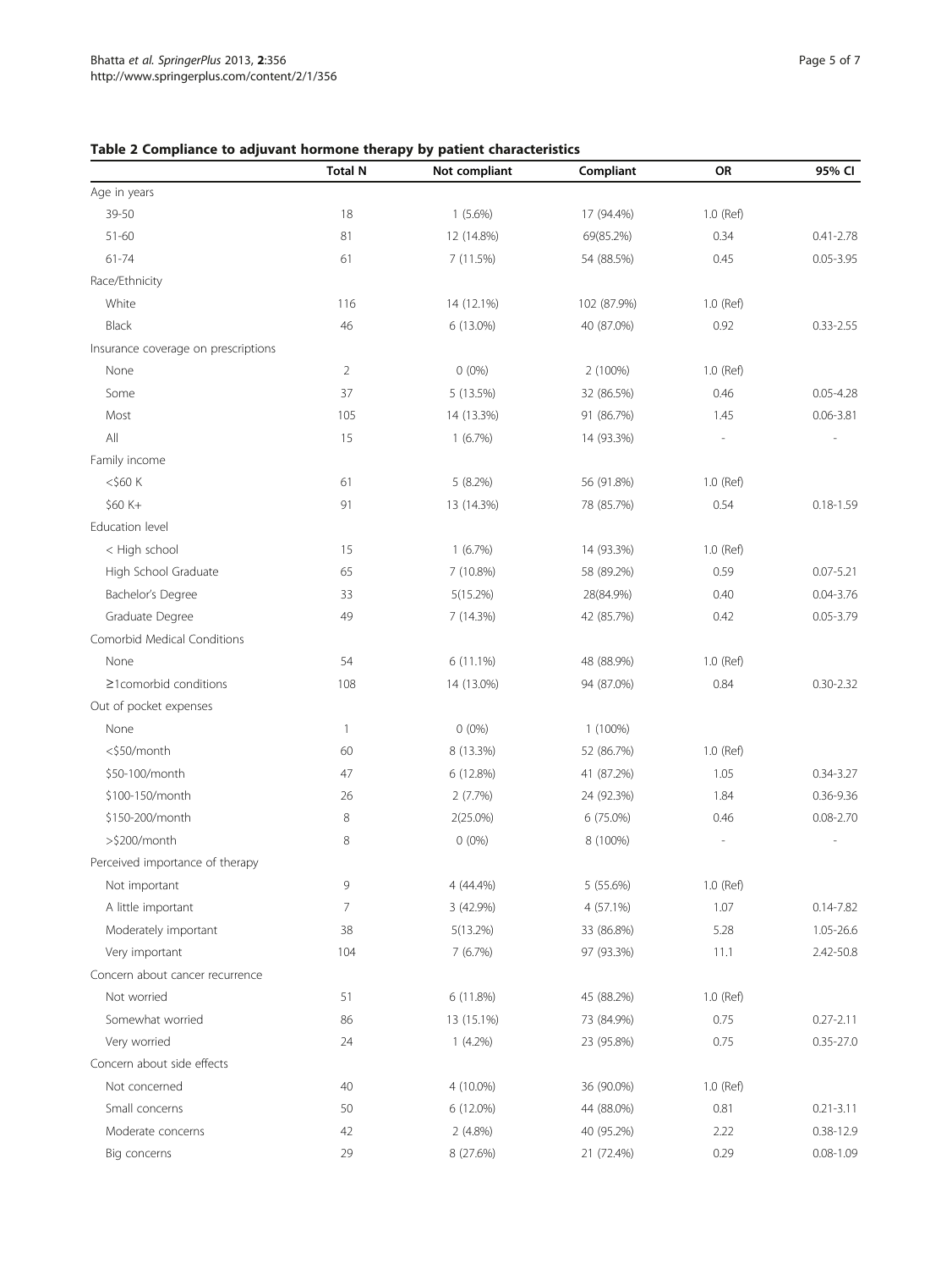# Total N Not compliant Compliant Compliant OR 95% CI Age in years 39-50 18 1 (5.6%) 17 (94.4%) 1.0 (Ref) 51-60 81 12 (14.8%) 69(85.2%) 0.34 0.41-2.78 61 74 0.05-3.95 (11.5%) 54 (88.5%) 64 0.05-3.95 Race/Ethnicity White 116 116 116 14 (12.1%) 102 (87.9%) 1.0 (Ref) Black 46 6 (13.0%) 40 (87.0%) 0.92 0.33-2.55 Insurance coverage on prescriptions None 2 0 (0%) 2 (100%) 2 (100%) 1.0 (Ref) Some 37 5 (13.5%) 32 (86.5%) 0.46 0.05-4.28 Most 105 14 (13.3%) 91 (86.7%) 1.45 0.06-3.81 All 15 1 (6.7%) 14 (93.3%) - - Family income <\$60 K 61 5 (8.2%) 56 (91.8%) 1.0 (Ref) \$60 K+ 91 13 (14.3%) 78 (85.7%) 0.54 0.18-1.59 Education level < High school 15 1 (6.7%) 14 (93.3%) 1.0 (Ref) High School Graduate 65 7 (10.8%) 58 (89.2%) 0.59 0.07-5.21 Bachelor's Degree 33 5(15.2%) 28(84.9%) 0.40 0.04-3.76 Graduate Degree 2005-3.79 2014 49 7 (14.3%) 42 (85.7%) 0.42 0.05-3.79 Comorbid Medical Conditions None 1.0 (Ref) 54 6 (11.1%) 48 (88.9%) 1.0 (Ref) ≥1comorbid conditions 108 14 (13.0%) 94 (87.0%) 0.84 0.30-2.32 Out of pocket expenses None 1 0 (0%) 1 (100%) <\$50/month 60 8 (13.3%) 52 (86.7%) 1.0 (Ref) \$50-100/month 47 6 (12.8%) 41 (87.2%) 1.05 0.34-3.27 \$100-150/month 26 2 (7.7%) 24 (92.3%) 1.84 0.36-9.36 \$150-200/month 8 2(25.0%) 6 (75.0%) 0.46 0.08-2.70 >\$200/month 8 0 (0%) 8 (100%) - - Perceived importance of therapy Not important 10 1.0 (Ref) 1.0 (Ref) 9 4 (44.4%) 5 (55.6%) 1.0 (Ref) A little important 0.14-7.82 (47.9%) 4 (57.1%) 1.07 0.14-7.82 Moderately important 38 5(13.2%) 33 (86.8%) 5.28 1.05-26.6 Very important 104 7 (6.7%) 97 (93.3%) 11.1 2.42-50.8 Concern about cancer recurrence Not worried 1.0 (Ref) 51 6 (11.8%) 45 (88.2%) 1.0 (Ref) Somewhat worried **86** 13 (15.1%) 73 (84.9%) 0.75 0.27-2.11 Very worried 24 1 (4.2%) 23 (95.8%) 0.75 0.35-27.0 Concern about side effects Not concerned 40 4 (10.0%) 36 (90.0%) 1.0 (Ref) Small concerns 60 50 6 (12.0%) 44 (88.0%) 0.81 0.21-3.11 Moderate concerns 42 2 (4.8%) 40 (95.2%) 2.22 0.38-12.9 Big concerns 29 29 8 (27.6%) 21 (72.4%) 0.29 0.08-1.09 0.29 0.08-1.09

## <span id="page-4-0"></span>Table 2 Compliance to adjuvant hormone therapy by patient characteristics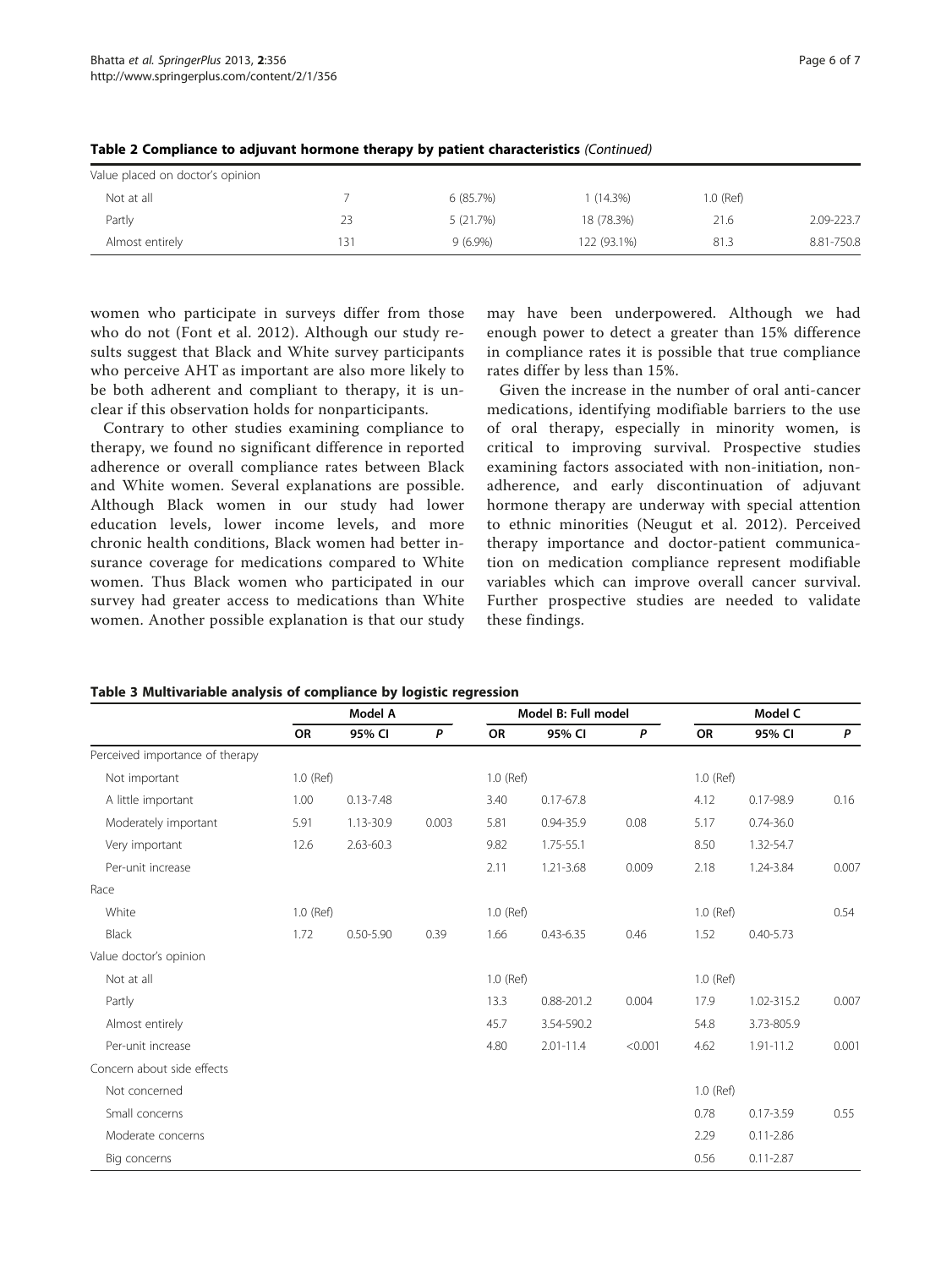| Value placed on doctor's opinion |     |            |             |           |            |
|----------------------------------|-----|------------|-------------|-----------|------------|
| Not at all                       |     | 6(85.7%)   | $(14.3\%)$  | 1.0 (Ref) |            |
| Partly                           | 23  | 5(21.7%)   | 18 (78.3%)  | 21.6      | 2.09-223.7 |
| Almost entirely                  | 131 | $9(6.9\%)$ | 122 (93.1%) | 81.3      | 8.81-750.8 |

<span id="page-5-0"></span>Table 2 Compliance to adjuvant hormone therapy by patient characteristics (Continued)

women who participate in surveys differ from those who do not (Font et al. [2012](#page-6-0)). Although our study results suggest that Black and White survey participants who perceive AHT as important are also more likely to be both adherent and compliant to therapy, it is unclear if this observation holds for nonparticipants.

Contrary to other studies examining compliance to therapy, we found no significant difference in reported adherence or overall compliance rates between Black and White women. Several explanations are possible. Although Black women in our study had lower education levels, lower income levels, and more chronic health conditions, Black women had better insurance coverage for medications compared to White women. Thus Black women who participated in our survey had greater access to medications than White women. Another possible explanation is that our study may have been underpowered. Although we had enough power to detect a greater than 15% difference in compliance rates it is possible that true compliance rates differ by less than 15%.

Given the increase in the number of oral anti-cancer medications, identifying modifiable barriers to the use of oral therapy, especially in minority women, is critical to improving survival. Prospective studies examining factors associated with non-initiation, nonadherence, and early discontinuation of adjuvant hormone therapy are underway with special attention to ethnic minorities (Neugut et al. [2012](#page-6-0)). Perceived therapy importance and doctor-patient communication on medication compliance represent modifiable variables which can improve overall cancer survival. Further prospective studies are needed to validate these findings.

|                                 |           | Model A       |       |           | Model B: Full model |         |           | Model C       |       |
|---------------------------------|-----------|---------------|-------|-----------|---------------------|---------|-----------|---------------|-------|
|                                 | <b>OR</b> | 95% CI        | P     | <b>OR</b> | 95% CI              | P       | OR        | 95% CI        | P     |
| Perceived importance of therapy |           |               |       |           |                     |         |           |               |       |
| Not important                   | 1.0 (Ref) |               |       | 1.0 (Ref) |                     |         | 1.0 (Ref) |               |       |
| A little important              | 1.00      | $0.13 - 7.48$ |       | 3.40      | $0.17 - 67.8$       |         | 4.12      | 0.17-98.9     | 0.16  |
| Moderately important            | 5.91      | 1.13-30.9     | 0.003 | 5.81      | 0.94-35.9           | 0.08    | 5.17      | $0.74 - 36.0$ |       |
| Very important                  | 12.6      | 2.63-60.3     |       | 9.82      | 1.75-55.1           |         | 8.50      | 1.32-54.7     |       |
| Per-unit increase               |           |               |       | 2.11      | 1.21-3.68           | 0.009   | 2.18      | 1.24-3.84     | 0.007 |
| Race                            |           |               |       |           |                     |         |           |               |       |
| White                           | 1.0 (Ref) |               |       | 1.0 (Ref) |                     |         | 1.0 (Ref) |               | 0.54  |
| <b>Black</b>                    | 1.72      | $0.50 - 5.90$ | 0.39  | 1.66      | $0.43 - 6.35$       | 0.46    | 1.52      | $0.40 - 5.73$ |       |
| Value doctor's opinion          |           |               |       |           |                     |         |           |               |       |
| Not at all                      |           |               |       | 1.0 (Ref) |                     |         | 1.0 (Ref) |               |       |
| Partly                          |           |               |       | 13.3      | 0.88-201.2          | 0.004   | 17.9      | 1.02-315.2    | 0.007 |
| Almost entirely                 |           |               |       | 45.7      | 3.54-590.2          |         | 54.8      | 3.73-805.9    |       |
| Per-unit increase               |           |               |       | 4.80      | $2.01 - 11.4$       | < 0.001 | 4.62      | $1.91 - 11.2$ | 0.001 |
| Concern about side effects      |           |               |       |           |                     |         |           |               |       |
| Not concerned                   |           |               |       |           |                     |         | 1.0 (Ref) |               |       |
| Small concerns                  |           |               |       |           |                     |         | 0.78      | $0.17 - 3.59$ | 0.55  |
| Moderate concerns               |           |               |       |           |                     |         | 2.29      | $0.11 - 2.86$ |       |
| Big concerns                    |           |               |       |           |                     |         | 0.56      | $0.11 - 2.87$ |       |

Table 3 Multivariable analysis of compliance by logistic regression